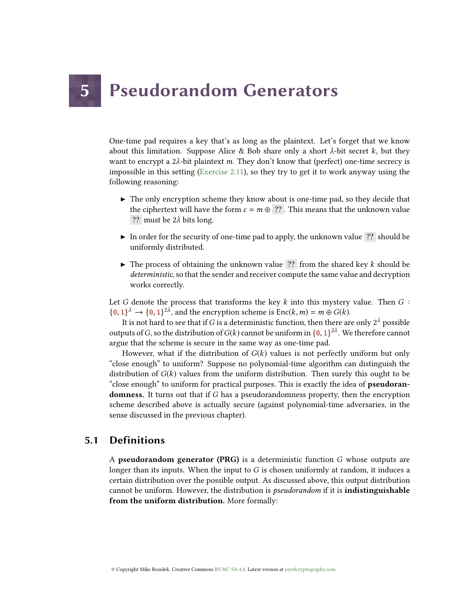# 5 Pseudorandom Generators

One-time pad requires a key that's as long as the plaintext. Let's forget that we know about this limitation. Suppose Alice & Bob share only a short  $\lambda$ -bit secret k, but they want to encrypt a  $2\lambda$ -bit plaintext m. They don't know that (perfect) one-time secrecy is impossible in this setting [\(Exercise 2.11\)](#page--1-0), so they try to get it to work anyway using the following reasoning:

- $\blacktriangleright$  The only encryption scheme they know about is one-time pad, so they decide that the ciphertext will have the form  $c = m \oplus ?$ ? . This means that the unknown value ?? must be <sup>2</sup>λ bits long.
- $\triangleright$  In order for the security of one-time pad to apply, the unknown value ?? should be uniformly distributed.
- $\blacktriangleright$  The process of obtaining the unknown value ?? from the shared key k should be deterministic, so that the sender and receiver compute the same value and decryption works correctly.

Let G denote the process that transforms the key k into this mystery value. Then  $G$ :  $\{0, 1\}^{\lambda} \rightarrow \{0, 1\}^{2\lambda}$ , and the encryption scheme is  $Enc(k, m) = m \oplus G(k)$ .<br>It is not hard to see that if G is a deterministic function, then there are

It is not hard to see that if G is a deterministic function, then there are only 2<sup>A</sup> possible<br>puts of G so the distribution of  $G(k)$  cannot be uniform in 10, 11<sup>2A</sup>. We therefore cannot outputs of G, so the distribution of  $G(k)$  cannot be uniform in  $\{0, 1\}^{2\lambda}$ . We therefore cannot argue that the scheme is secure in the same way as one-time pad.

However, what if the distribution of  $G(k)$  values is not perfectly uniform but only "close enough" to uniform? Suppose no polynomial-time algorithm can distinguish the distribution of  $G(k)$  values from the uniform distribution. Then surely this ought to be "close enough" to uniform for practical purposes. This is exactly the idea of pseudorandomness. It turns out that if G has a pseudorandomness property, then the encryption scheme described above is actually secure (against polynomial-time adversaries, in the sense discussed in the previous chapter).

## 5.1 Definitions

<sup>A</sup> pseudorandom generator (PRG) is a deterministic function G whose outputs are longer than its inputs. When the input to  $G$  is chosen uniformly at random, it induces a certain distribution over the possible output. As discussed above, this output distribution cannot be uniform. However, the distribution is *pseudorandom* if it is **indistinguishable** from the uniform distribution. More formally: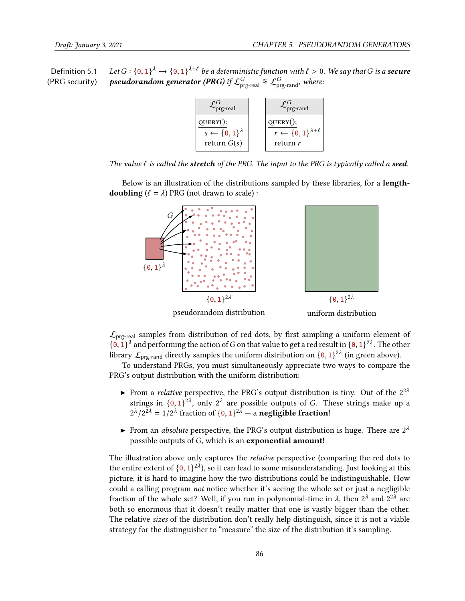Definition 5.1 (PRG security) Let  $G: \{0,1\}^{\lambda} \to \{0,1\}^{\lambda+\ell}$  be a deterministic function with  $\ell > 0$ . We say that G is a **secure**<br>**pseudoxandom generator (PPG)** if  $G \cong \mathcal{C}^G$  where pseudorandom generator (PRG) if  $\mathcal{L}^{G}_{\text{prg-real}} \approx \mathcal{L}^{G}_{\text{prg-random}}$ , where:

| prg-real                         | $L_{\text{prg-rand}}$                 |
|----------------------------------|---------------------------------------|
| QUERY():                         | $QUERY()$ :                           |
| $s \leftarrow \{0,1\}^{\lambda}$ | $r \leftarrow \{0,1\}^{\lambda+\ell}$ |
| return $G(s)$                    | return r                              |

The value  $\ell$  is called the **stretch** of the PRG. The input to the PRG is typically called a **seed**.

Below is an illustration of the distributions sampled by these libraries, for a length**doubling**  $(\ell = \lambda)$  PRG (not drawn to scale) :



 $\mathcal{L}_{\text{prg-real}}$  samples from distribution of red dots, by first sampling a uniform element of  $\{0,1\}^{\lambda}$  and performing the action of G on that value to get a red result in  $\{0,1\}^{2\lambda}$ . The other<br>library  $\mathcal{L}$  directly samples the uniform distribution on  $\{0,1\}^{2\lambda}$  (in green above) library  $\mathcal{L}_{\text{prg-rand}}$  directly samples the uniform distribution on  $\{0, 1\}^{2\lambda}$  (in green above).<br>To understand PPGs, you must simultaneously appreciate two ways to compare t

To understand PRGs, you must simultaneously appreciate two ways to compare the PRG's output distribution with the uniform distribution:

- From a *relative* perspective, the PRG's output distribution is tiny. Out of the  $2^{2\lambda}$ strings in  $\{0, 1\}^{2\lambda}$ , only  $2^{\lambda}$  are possible outputs of *G*. These strings make up a  $2^{\lambda}/2^{2\lambda} = 1/2^{\lambda}$  fraction of  $\{0, 1\}^{2\lambda}$  — a **negligible fraction!**
- From an *absolute* perspective, the PRG's output distribution is huge. There are  $2^{\lambda}$ possible outputs of G, which is an exponential amount!

The illustration above only captures the *relative* perspective (comparing the red dots to the entire extent of  $\{0, 1\}^{2\lambda}$ ), so it can lead to some misunderstanding. Just looking at this picture, it is hard to imagine how the two distributions could be indictinguishable. How picture, it is hard to imagine how the two distributions could be indistinguishable. How could a calling program *not* notice whether it's seeing the whole set or just a negligible fraction of the whole set? Well, if you run in polynomial-time in  $\lambda$ , then  $2^{\lambda}$  and  $2^{2\lambda}$  are both so enormous that it doesn't really matter that one is vastly bigger than the other both so enormous that it doesn't really matter that one is vastly bigger than the other. The relative sizes of the distribution don't really help distinguish, since it is not a viable strategy for the distinguisher to "measure" the size of the distribution it's sampling.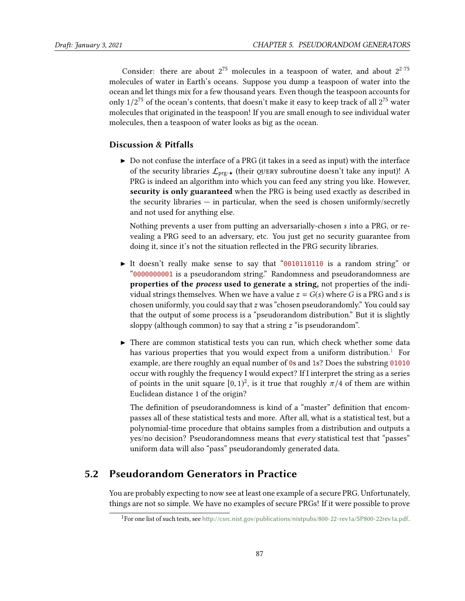Consider: there are about  $2^{75}$  molecules in a teaspoon of water, and about  $2^{2.75}$ molecules of water in Earth's oceans. Suppose you dump a teaspoon of water into the ocean and let things mix for a few thousand years. Even though the teaspoon accounts for only 1/2 $^{75}$  of the ocean's contents, that doesn't make it easy to keep track of all 2 $^{75}$  water molecules that originated in the teaspoon! If you are small enough to see individual water molecules, then a teaspoon of water looks as big as the ocean.

#### Discussion & Pitfalls

 $\triangleright$  Do not confuse the interface of a PRG (it takes in a seed as input) with the interface of the security libraries  $\mathcal{L}_{\text{prg-}\star}$  (their query subroutine doesn't take any input)! A PRG is indeed an algorithm into which you can feed any string you like. However, security is only guaranteed when the PRG is being used exactly as described in the security libraries  $-$  in particular, when the seed is chosen uniformly/secretly and not used for anything else.

Nothing prevents a user from putting an adversarially-chosen s into a PRG, or revealing a PRG seed to an adversary, etc. You just get no security guarantee from doing it, since it's not the situation reflected in the PRG security libraries.

- It doesn't really make sense to say that "0010110110 is a random string" or "0000000001 is a pseudorandom string." Randomness and pseudorandomness are properties of the process used to generate a string, not properties of the individual strings themselves. When we have a value  $z = G(s)$  where G is a PRG and s is chosen uniformly, you could say that z was "chosen pseudorandomly." You could say that the output of some process is a "pseudorandom distribution." But it is slightly sloppy (although common) to say that a string  $z$  "is pseudorandom".
- $\blacktriangleright$  There are common statistical tests you can run, which check whether some data has various properties that you would expect from a uniform distribution.<sup>[1](#page-2-0)</sup> For example, are there roughly an equal number of 0s and 1s? Does the substring 01010 occur with roughly the frequency I would expect? If I interpret the string as a series of points in the unit square  $[0, 1)^2$ , is it true that roughly  $\pi/4$  of them are within<br>Euclidean distance 1 of the origin? Euclidean distance 1 of the origin?

The definition of pseudorandomness is kind of a "master" definition that encompasses all of these statistical tests and more. After all, what is a statistical test, but a polynomial-time procedure that obtains samples from a distribution and outputs a yes/no decision? Pseudorandomness means that every statistical test that "passes" uniform data will also "pass" pseudorandomly generated data.

## 5.2 Pseudorandom Generators in Practice

You are probably expecting to now see at least one example of a secure PRG. Unfortunately, things are not so simple. We have no examples of secure PRGs! If it were possible to prove

<span id="page-2-0"></span><sup>&</sup>lt;sup>1</sup>For one list of such tests, see http://csrc.nist.gov/publications/nistpubs/800-22-rev1a/SP800-22rev1a.pdf.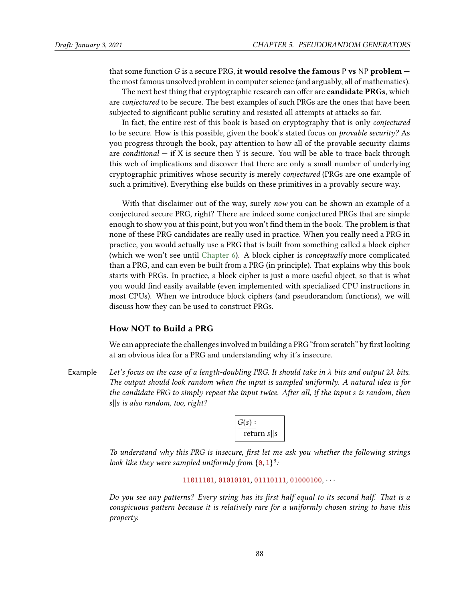that some function G is a secure PRG, it would resolve the famous P vs NP problem  $$ the most famous unsolved problem in computer science (and arguably, all of mathematics).

The next best thing that cryptographic research can offer are candidate PRGs, which are conjectured to be secure. The best examples of such PRGs are the ones that have been subjected to significant public scrutiny and resisted all attempts at attacks so far.

In fact, the entire rest of this book is based on cryptography that is only conjectured to be secure. How is this possible, given the book's stated focus on provable security? As you progress through the book, pay attention to how all of the provable security claims are *conditional*  $-$  if X is secure then Y is secure. You will be able to trace back through this web of implications and discover that there are only a small number of underlying cryptographic primitives whose security is merely conjectured (PRGs are one example of such a primitive). Everything else builds on these primitives in a provably secure way.

With that disclaimer out of the way, surely now you can be shown an example of a conjectured secure PRG, right? There are indeed some conjectured PRGs that are simple enough to show you at this point, but you won't find them in the book. The problem is that none of these PRG candidates are really used in practice. When you really need a PRG in practice, you would actually use a PRG that is built from something called a block cipher (which we won't see until [Chapter 6\)](#page--1-1). A block cipher is conceptually more complicated than a PRG, and can even be built from a PRG (in principle). That explains why this book starts with PRGs. In practice, a block cipher is just a more useful object, so that is what you would find easily available (even implemented with specialized CPU instructions in most CPUs). When we introduce block ciphers (and pseudorandom functions), we will discuss how they can be used to construct PRGs.

#### How NOT to Build a PRG

We can appreciate the challenges involved in building a PRG "from scratch" by first looking at an obvious idea for a PRG and understanding why it's insecure.

Example Let's focus on the case of a length-doubling PRG. It should take in  $\lambda$  bits and output 2 $\lambda$  bits. The output should look random when the input is sampled uniformly. A natural idea is for the candidate PRG to simply repeat the input twice. After all, if the input s is random, then  $s \parallel s$  is also random, too, right?



To understand why this PRG is insecure, first let me ask you whether the following strings look like they were sampled uniformly from  $\{0,1\}^8$ :

```
11011101, 01010101, 01110111, 01000100, · · ·
```
Do you see any patterns? Every string has its first half equal to its second half. That is a conspicuous pattern because it is relatively rare for a uniformly chosen string to have this property.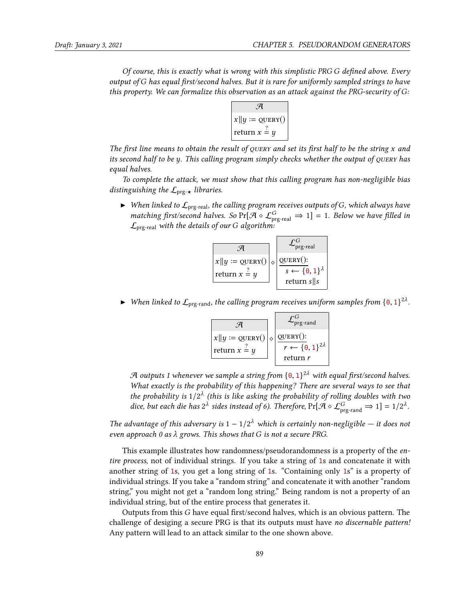Of course, this is exactly what is wrong with this simplistic PRG G defined above. Every output of G has equal first/second halves. But it is rare for uniformly sampled strings to have this property. We can formalize this observation as an attack against the PRG-security of G:

$$
\mathcal{A}
$$
  
x||y :=  $\text{QUERV}()$   
return  $x = y$ 

The first line means to obtain the result of QUERY and set its first half to be the string x and its second half to be y. This calling program simply checks whether the output of QUERY has equal halves.

To complete the attack, we must show that this calling program has non-negligible bias distinguishing the  $\mathcal{L}_{\text{prg-}\star}$  libraries.

 $\blacktriangleright$  When linked to  $\mathcal{L}_{\text{prg-real}}$ , the calling program receives outputs of G, which always have matching first/second halves. So Pr[ $\mathcal{A} \circ \mathcal{L}_{pre\text{-real}}^G \Rightarrow 1$ ] = 1. Below we have filled in  $\mathcal{L}_{\text{prg-real}}$  with the details of our G algorithm:

|                                     | prg-real                                                         |
|-------------------------------------|------------------------------------------------------------------|
| $x  y := QUERT()$<br>return $x = y$ | $QUERY()$ :<br>$s \leftarrow \{0,1\}^{\lambda}$<br>return $s  s$ |

 $\triangleright$  When linked to  $\mathcal{L}_{\text{prg-rand}}$ , the calling program receives uniform samples from  $\{0, 1\}^{2\lambda}$ .

| $\mathcal{A}$                     | $\mathcal{L}_{\text{prg-rand}}^G$  |
|-----------------------------------|------------------------------------|
| $x \parallel y := \text{QUERV}()$ | $\text{QUERV}()$                   |
| return $x \stackrel{?}{=} y$      | $r \leftarrow \{0, 1\}^{2\lambda}$ |
| return $r$                        |                                    |

A outputs 1 whenever we sample a string from  $\{0,1\}^{2\lambda}$  with equal first/second halves.<br>What exactly is the probability of this happening? There are several ways to see that What exactly is the probability of this happening? There are several ways to see that the probability is  $1/2^{\lambda}$  (this is like asking the probability of rolling doubles with two dice, but each die has  $2^{\lambda}$  sides instead of 6). Therefore,  $Pr[\mathcal{A} \circ \mathcal{L}_{pre\text{-rand}}^G \Rightarrow 1] = 1/2^{\lambda}$ .

The advantage of this adversary is  $1 - 1/2^{\lambda}$  which is certainly non-negligible  $-$  it does not even approach 0 as  $\lambda$  grows. This shows that G is not a secure PRG.

This example illustrates how randomness/pseudorandomness is a property of the entire process, not of individual strings. If you take a string of 1s and concatenate it with another string of 1s, you get a long string of 1s. "Containing only 1s" is a property of individual strings. If you take a "random string" and concatenate it with another "random string," you might not get a "random long string." Being random is not a property of an individual string, but of the entire process that generates it.

Outputs from this  $G$  have equal first/second halves, which is an obvious pattern. The challenge of desiging a secure PRG is that its outputs must have no discernable pattern! Any pattern will lead to an attack similar to the one shown above.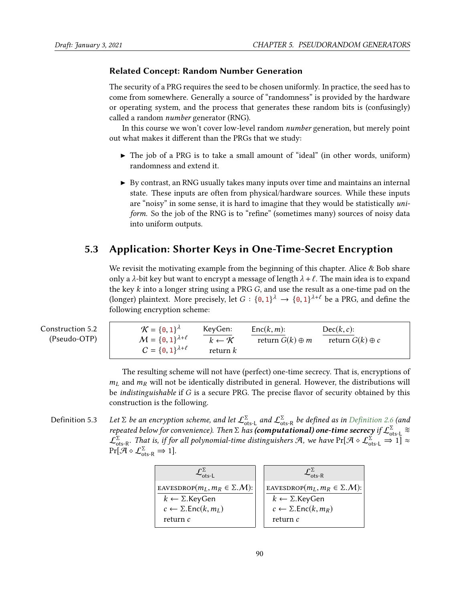#### Related Concept: Random Number Generation

The security of a PRG requires the seed to be chosen uniformly. In practice, the seed has to come from somewhere. Generally a source of "randomness" is provided by the hardware or operating system, and the process that generates these random bits is (confusingly) called a random number generator (RNG).

In this course we won't cover low-level random number generation, but merely point out what makes it different than the PRGs that we study:

- $\blacktriangleright$  The job of a PRG is to take a small amount of "ideal" (in other words, uniform) randomness and extend it.
- $\triangleright$  By contrast, an RNG usually takes many inputs over time and maintains an internal state. These inputs are often from physical/hardware sources. While these inputs are "noisy" in some sense, it is hard to imagine that they would be statistically *uni*form. So the job of the RNG is to "refine" (sometimes many) sources of noisy data into uniform outputs.

## 5.3 Application: Shorter Keys in One-Time-Secret Encryption

<span id="page-5-1"></span>We revisit the motivating example from the beginning of this chapter. Alice  $\&$  Bob share only a  $\lambda$ -bit key but want to encrypt a message of length  $\lambda + \ell$ . The main idea is to expand the key k into a longer string using a PRG G, and use the result as a one-time pad on the (longer) plaintext. More precisely, let  $G: \{0,1\}^{\lambda} \to \{0,1\}^{\lambda+\ell}$  be a PRG, and define the following encryption scheme: following encryption scheme:

Construction 5.2 (Pseudo-OTP)

<span id="page-5-0"></span>

| $\mathcal{K} = \{0,1\}^{\lambda}$ | KeyGen:                    | $Enc(k, m)$ :          | $Dec(k, c)$ :          |  |
|-----------------------------------|----------------------------|------------------------|------------------------|--|
| $M = \{0, 1\}^{\lambda + \ell}$   | $k \leftarrow \mathcal{K}$ | return $G(k) \oplus m$ | return $G(k) \oplus c$ |  |
| $C = \{0, 1\}^{\lambda + \ell}$   | return $k$                 |                        |                        |  |

The resulting scheme will not have (perfect) one-time secrecy. That is, encryptions of  $m<sub>L</sub>$  and  $m<sub>R</sub>$  will not be identically distributed in general. However, the distributions will be *indistinguishable* if  $G$  is a secure PRG. The precise flavor of security obtained by this construction is the following.

Definition 5.3 Let  $\Sigma$  be an encryption scheme, and let  $\mathcal{L}_{\text{old}}^{\Sigma}$ <br>repeated below for convenience). Then  $\Sigma$  has  $\frac{\Sigma}{\rm{ots-L}}$  and  $\mathcal{L}^{\Sigma}_{\rm{ots-R}}$  be defined as in Definition 2.6 (and repeated below for convenience). Then  $\Sigma$  has (computational) one-time secrecy if  $\mathcal{L}_{\text{ots-} }^{\Sigma} \approx$ <br> $\Gamma^{\Sigma}$  That is if for all polynomial-time distinguishers  $\mathcal{L}_{\text{avg}}$  baye  $\Pr[\mathcal{A} \wedge \Gamma^{\Sigma} \to 1] \sim$  $\mathcal{L}^\Sigma_{\rm{ots}\,R}$ . That is, if for all polynomial-time distinguishers A, we have  ${\rm Pr}[\mathcal{A}\diamond\mathcal{L}^\Sigma_{\rm{ots}\,L}\Rightarrow 1]\approx$  $Pr[\mathcal{A} \diamond \mathcal{L}_{\text{ots-R}}^{\Sigma} \Rightarrow 1].$ 

| EAVESDROP $(m_L, m_R \in \Sigma \mathcal{M})$ : | EAVESDROP $(m_L, m_R \in \Sigma \mathcal{M})$ : |
|-------------------------------------------------|-------------------------------------------------|
| $k \leftarrow \Sigma$ . Key Gen                 | $k \leftarrow \Sigma$ .KeyGen                   |
| $c \leftarrow \Sigma$ . Enc $(k, m_L)$          | $c \leftarrow \Sigma$ . Enc $(k, m_R)$          |
| return c                                        | return c                                        |
|                                                 |                                                 |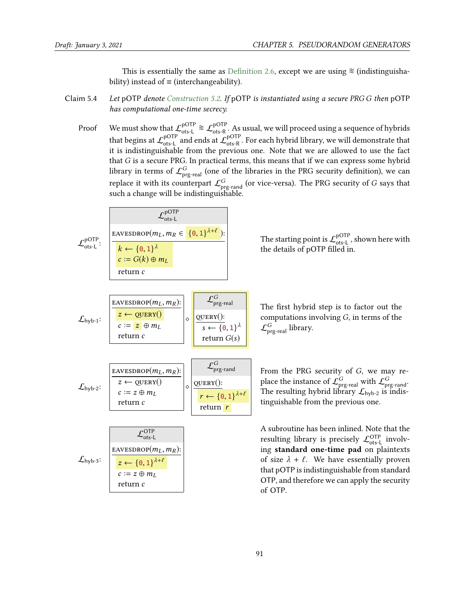This is essentially the same as Definition 2.6, except we are using  $\approx$  (indistinguishability) instead of  $\equiv$  (interchangeability).

- Claim 5.4 Let pOTP denote [Construction 5.2.](#page-5-0) If pOTP is instantiated using a secure PRG G then pOTP has computational one-time secrecy.
	- Proof We must show that  $\mathcal{L}_{\text{ots-l}}^{\text{pOTP}}$ <sup>pOTP</sup>  $\approx \mathcal{L}_{\rm{ots-R}}^{\rm{pOTP}}$ . As usual, we will proceed using a sequence of hybrids that begins at  $\mathcal{L}_{\text{ots-L}}^{\text{porp}}$  and ends at  $\mathcal{L}_{\text{ots-R}}^{\text{porp}}$ . For each hybrid library, we will demonstrate that it is indistinguishable from the previous one. Note that we are allowed to use the fact that G is a secure PRG. In practical terms, this means that if we can express some hybrid library in terms of  $\mathcal{L}^G_{\text{pre-real}}$  (one of the libraries in the PRG security definition), we can replace it with its counterpart  $\mathcal{L}_{\text{pr-}z}^G$  (or vice-versa). The PRG security of G says that such a change will be indistinguishable.



The starting point is  $\mathcal{L}_{\text{ots-L}}^{\text{pOTP}}$  , shown here with the details of pOTP filled in.

The first hybrid step is to factor out the computations involving G, in terms of the  $\mathcal{L}^{G}_{\mathsf{pre}\text{-real}}$  library.

From the PRG security of *G*, we may re-<br>place the instance of  $\mathcal{L}^G_{\text{pr}g\text{-} \text{real}}$  with  $\mathcal{L}^G_{\text{pr}g\text{-} \text{rand}}$ . The resulting hybrid library  $\mathcal{L}_{\text{hyb-2}}$  is indistinguishable from the previous one.

A subroutine has been inlined. Note that the resulting library is precisely  $\mathcal{L}^{\text{OTP}}_{\text{ots-L}}$  involving standard one-time pad on plaintexts of size  $\lambda + \ell$ . We have essentially proven that pOTP is indistinguishable from standard OTP, and therefore we can apply the security of OTP.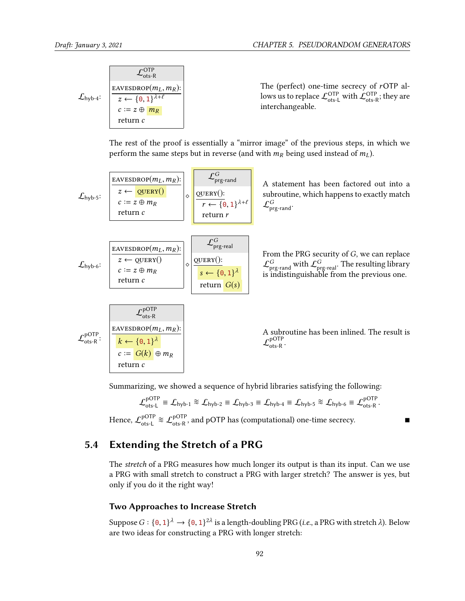$$
\mathcal{L}_{\text{hyb-4}}:\n\begin{array}{c}\n\mathcal{L}_{\text{ots-R}}^{\text{OTP}} \\
\text{EAVESDROP}(m_L, m_R):\n\hline\nz \leftarrow \{0, 1\}^{\lambda + \ell} \\
c := z \oplus \frac{m_R}{\text{return } c}\n\end{array}
$$

The (perfect) one-time secrecy of  $r$ OTP allows us to replace  $\mathcal{L}_{\text{ots}}^{\text{OTP}}$  with  $\mathcal{L}_{\text{ots}}^{\text{OTP}}$ ; they are interchangeable.

The rest of the proof is essentially a "mirror image" of the previous steps, in which we perform the same steps but in reverse (and with  $m_R$  being used instead of  $m_L$ ).



Summarizing, we showed a sequence of hybrid libraries satisfying the following:

$$
\mathcal{L}_{\text{ots-L}}^{\text{pOTP}}\equiv \mathcal{L}_{\text{hyb-1}}\approx \mathcal{L}_{\text{hyb-2}}\equiv \mathcal{L}_{\text{hyb-3}}\equiv \mathcal{L}_{\text{hyb-4}}\equiv \mathcal{L}_{\text{hyb-5}}\approx \mathcal{L}_{\text{hyb-6}}\equiv \mathcal{L}_{\text{ots-R}}^{\text{pOTP}}.
$$

Hence,  $\mathcal{L}_{\textrm{ots-l}}^{\textrm{pOTP}}$  $p^{OTP}$  ≋  $\mathcal{L}_{\text{ots-R}}^{pOTP}$ , and pOTP has (computational) one-time secrecy.  $\blacksquare$ 

## 5.4 Extending the Stretch of a PRG

The stretch of a PRG measures how much longer its output is than its input. Can we use a PRG with small stretch to construct a PRG with larger stretch? The answer is yes, but only if you do it the right way!

## Two Approaches to Increase Stretch

Suppose  $G: \{0,1\}^{\lambda} \to \{0,1\}^{2\lambda}$  is a length-doubling PRG (*i.e.*, a PRG with stretch  $\lambda$ ). Below are two ideas for constructing a PRG with longer stretch: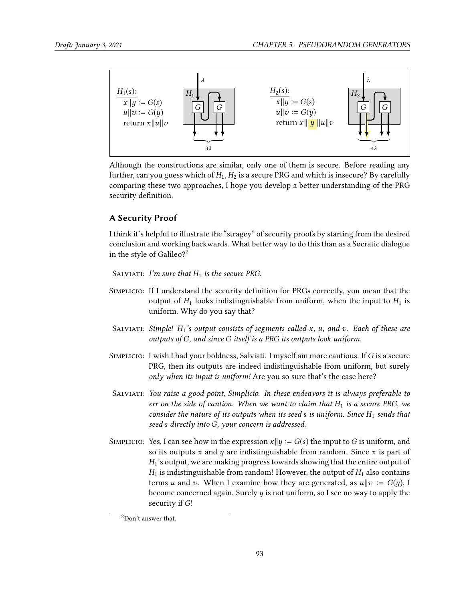

Although the constructions are similar, only one of them is secure. Before reading any further, can you guess which of  $H_1, H_2$  is a secure PRG and which is insecure? By carefully comparing these two approaches, I hope you develop a better understanding of the PRG security definition.

#### A Security Proof

I think it's helpful to illustrate the "stragey" of security proofs by starting from the desired conclusion and working backwards. What better way to do this than as a Socratic dialogue in the style of Galileo?<sup>[2](#page-8-0)</sup>

SALVIATI: I'm sure that  $H_1$  is the secure PRG.

- Simplicio: If I understand the security denition for PRGs correctly, you mean that the output of  $H_1$  looks indistinguishable from uniform, when the input to  $H_1$  is uniform. Why do you say that?
- SALVIATI: Simple!  $H_1$ 's output consists of segments called x, u, and v. Each of these are outputs of G, and since G itself is a PRG its outputs look uniform.
- Simplicio: I wish I had your boldness, Salviati. I myself am more cautious. IfG is a secure PRG, then its outputs are indeed indistinguishable from uniform, but surely only when its input is uniform! Are you so sure that's the case here?
- SALVIATI: You raise a good point, Simplicio. In these endeavors it is always preferable to err on the side of caution. When we want to claim that  $H_1$  is a secure PRG, we consider the nature of its outputs when its seed s is uniform. Since  $H_1$  sends that seed s directly into G, your concern is addressed.
- SIMPLICIO: Yes, I can see how in the expression  $x||y := G(s)$  the input to G is uniform, and so its outputs  $x$  and  $y$  are indistinguishable from random. Since  $x$  is part of  $H_1$ 's output, we are making progress towards showing that the entire output of  $H_1$  is indistinguishable from random! However, the output of  $H_1$  also contains terms u and v. When I examine how they are generated, as  $u||v := G(y)$ , I become concerned again. Surely  $y$  is not uniform, so I see no way to apply the security if G!

<span id="page-8-0"></span><sup>2</sup>Don't answer that.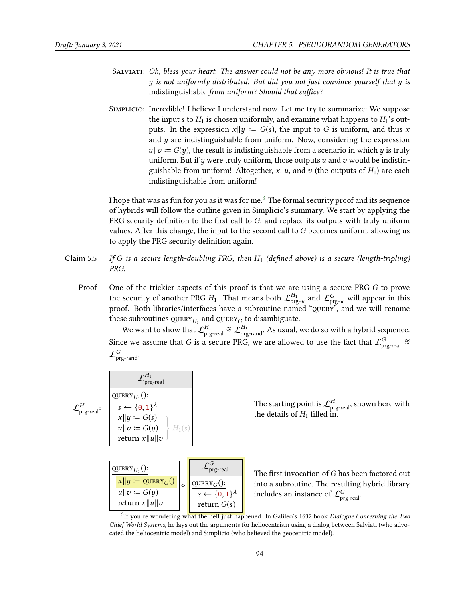- SALVIATI: Oh, bless your heart. The answer could not be any more obvious! It is true that y is not uniformly distributed. But did you not just convince yourself that y is indistinguishable from uniform? Should that suffice?
- Simplicio: Incredible! I believe I understand now. Let me try to summarize: We suppose the input s to  $H_1$  is chosen uniformly, and examine what happens to  $H_1$ 's outputs. In the expression  $x||y := G(s)$ , the input to G is uniform, and thus x and  $y$  are indistinguishable from uniform. Now, considering the expression  $u||v := G(y)$ , the result is indistinguishable from a scenario in which y is truly uniform. But if  $y$  were truly uniform, those outputs  $u$  and  $v$  would be indistinguishable from uniform! Altogether, x, u, and v (the outputs of  $H_1$ ) are each indistinguishable from uniform!

I hope that was as fun for you as it was for me. $3$  The formal security proof and its sequence of hybrids will follow the outline given in Simplicio's summary. We start by applying the PRG security definition to the first call to  $G$ , and replace its outputs with truly uniform values. After this change, the input to the second call to G becomes uniform, allowing us to apply the PRG security definition again.

- <span id="page-9-1"></span>Claim 5.5 If G is a secure length-doubling PRG, then  $H_1$  (defined above) is a secure (length-tripling) PRG.
	- Proof One of the trickier aspects of this proof is that we are using a secure PRG G to prove the security of another PRG  $H_1$ . That means both  $\mathcal{L}_{\text{pr}_s}^{H_1}$  and  $\mathcal{L}_{\text{pr}_s}^G$  will appear in this proof. Both libraries/interfaces have a subroutine parmed "ourpy" and we will reparme proof. Both libraries/interfaces have a subroutine named "QUERY", and we will rename these subroutines  $\text{QUERY}_{H_1}$  and  $\text{QUERY}_G$  to disambiguate.

We want to show that  $\mathcal{L}^{H_1}_{\text{prg-real}} \approx \mathcal{L}^{H_1}_{\text{prg-random}}$ . As usual, we do so with a hybrid sequence. Since we assume that G is a secure PRG, we are allowed to use the fact that  $\mathcal{L}^G_{\text{prg-real}} \approx$  $\mathcal{L}^G_{\text{prg-rand}}$ .

 $\mathcal{L}^H_{\text{\rm{pre-real}}}\colon$  $\mathcal{L}$  $H_1$ nro prg-real  $\frac{\text{QUERY}_{H_1}()}{\sqrt{2}}$  $s \leftarrow \{0,1\}^{\lambda}$ <br> $x \parallel u := G(s)$  $x||y := G(s)$ <br> $y||z| := G(y)$  $u||v := G(y)$ <br>return x||u|| )  $H_1(s)$ return  $x||u||v$ 

| QUERY $_{H_1}$ ():  |   | prg-real                         |
|---------------------|---|----------------------------------|
| $x  y := QUERY_G()$ | ♦ | QUERY <sub>G</sub> $():$         |
| $u  v := G(y)$      |   | $s \leftarrow \{0,1\}^{\lambda}$ |
| return $x  u  v$    |   | return $G(s)$                    |
|                     |   |                                  |

The starting point is  $\mathcal{L}^{H_1}_{\text{prg-real}},$  shown here with the details of  $H_1$  filled in.

The first invocation of  $G$  has been factored out into a subroutine. The resulting hybrid library includes an instance of  $\mathcal{L}^G_{\mathsf{pre}\text{-} \mathsf{real}}.$ 

<span id="page-9-0"></span>return G(s) 3 If you're wondering what the hell just happened: In Galileo's 1632 book Dialogue Concerning the Two Chief World Systems, he lays out the arguments for heliocentrism using a dialog between Salviati (who advocated the heliocentric model) and Simplicio (who believed the geocentric model).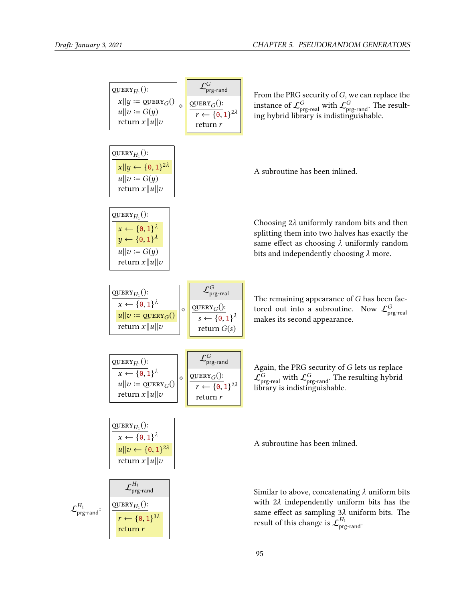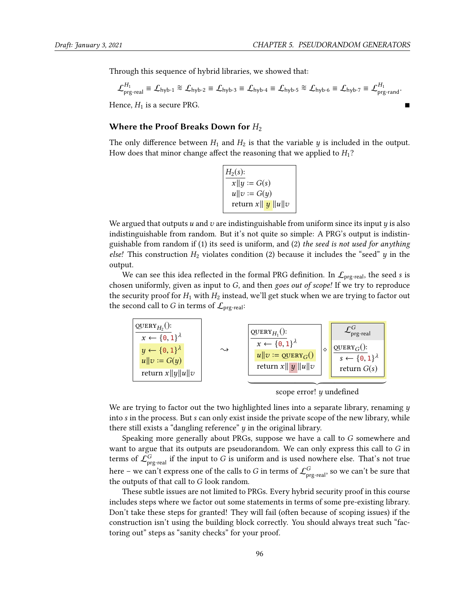Through this sequence of hybrid libraries, we showed that:

$$
\mathcal{L}_{\text{prg-real}}^{H_1} \equiv \mathcal{L}_{\text{hyb-1}} \approx \mathcal{L}_{\text{hyb-2}} \equiv \mathcal{L}_{\text{hyb-3}} \equiv \mathcal{L}_{\text{hyb-4}} \equiv \mathcal{L}_{\text{hyb-5}} \approx \mathcal{L}_{\text{hyb-6}} \equiv \mathcal{L}_{\text{hyb-7}} \equiv \mathcal{L}_{\text{prg-random}}^{H_1}.
$$

Hence,  $H_1$  is a secure PRG.

#### Where the Proof Breaks Down for  $H_2$

The only difference between  $H_1$  and  $H_2$  is that the variable  $y$  is included in the output. How does that minor change affect the reasoning that we applied to  $H_1$ ?

| $H_2(s)$ :          |
|---------------------|
| $x  y := G(s)$      |
| $u  v := G(y)$      |
| return $x  y  u  v$ |

We argued that outputs u and v are indistinguishable from uniform since its input  $y$  is also indistinguishable from random. But it's not quite so simple: A PRG's output is indistinguishable from random if  $(1)$  its seed is uniform, and  $(2)$  the seed is not used for anything else! This construction  $H_2$  violates condition (2) because it includes the "seed" y in the output.

We can see this idea reflected in the formal PRG definition. In  $\mathcal{L}_{prgr}$ -real, the seed s is chosen uniformly, given as input to  $G$ , and then goes out of scope! If we try to reproduce the security proof for  $H_1$  with  $H_2$  instead, we'll get stuck when we are trying to factor out the second call to G in terms of  $\mathcal{L}_{\text{prg-real}}$ :



scope error!  $y$  undefined

We are trying to factor out the two highlighted lines into a separate library, renaming  $y$ into s in the process. But s can only exist inside the private scope of the new library, while there still exists a "dangling reference"  $y$  in the original library.

Speaking more generally about PRGs, suppose we have a call to G somewhere and want to argue that its outputs are pseudorandom. We can only express this call to G in terms of  $\mathcal{L}_{\text{prg-real}}^G$  if the input to G is uniform and is used nowhere else. That's not true here – we can't express one of the calls to G in terms of  $\mathcal{L}^G_{\text{prg-real}}$ , so we can't be sure that the outputs of that call to G look random the outputs of that call to G look random.

These subtle issues are not limited to PRGs. Every hybrid security proof in this course includes steps where we factor out some statements in terms of some pre-existing library. Don't take these steps for granted! They will fail (often because of scoping issues) if the construction isn't using the building block correctly. You should always treat such "factoring out" steps as "sanity checks" for your proof.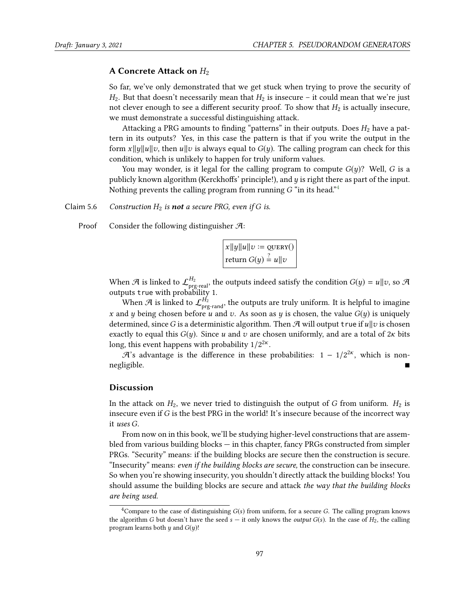#### A Concrete Attack on  $H_2$

So far, we've only demonstrated that we get stuck when trying to prove the security of  $H_2$ . But that doesn't necessarily mean that  $H_2$  is insecure – it could mean that we're just not clever enough to see a different security proof. To show that  $H_2$  is actually insecure, we must demonstrate a successful distinguishing attack.

Attacking a PRG amounts to finding "patterns" in their outputs. Does  $H_2$  have a pattern in its outputs? Yes, in this case the pattern is that if you write the output in the form  $x||y||u||v$ , then  $u||v$  is always equal to  $G(y)$ . The calling program can check for this condition, which is unlikely to happen for truly uniform values.

You may wonder, is it legal for the calling program to compute  $G(y)$ ? Well, G is a publicly known algorithm (Kerckhoffs' principle!), and  $y$  is right there as part of the input. Nothing prevents the calling program from running  $G^{\omega}$  "in its head."<sup>[4](#page-12-0)</sup>

Claim 5.6 Construction  $H_2$  is **not** a secure PRG, even if G is.

Proof Consider the following distinguisher  $\mathcal{A}$ :

 $x||y||u||v := QUERY()$ return  $G(y) \stackrel{?}{=} u||v$ 

When A is linked to  $\mathcal{L}_{\text{pr}-\text{real}}^{H_2}$ , the outputs indeed satisfy the condition  $G(y) = u||v$ , so A cutputs the probability 1 outputs true with probability 1.

When  ${\cal A}$  is linked to  ${\cal L}^{H_2}_{\text{pre-random}}$ , the outputs are truly uniform. It is helpful to imagine x and y being chosen before u and v. As soon as y is chosen, the value  $G(y)$  is uniquely determined, since G is a deterministic algorithm. Then A will output true if  $u||v$  is chosen exactly to equal this  $G(y)$ . Since u and v are chosen uniformly, and are a total of 2<sub>K</sub> bits long, this event happens with probability  $1/2^{2\kappa}$ .

 $\mathcal{A}$ 's advantage is the difference in these probabilities: 1 – 1/2<sup>2k</sup>, which is nonnegligible.

### Discussion

In the attack on  $H_2$ , we never tried to distinguish the output of G from uniform.  $H_2$  is insecure even if G is the best PRG in the world! It's insecure because of the incorrect way it uses G.

From now on in this book, we'll be studying higher-level constructions that are assembled from various building blocks — in this chapter, fancy PRGs constructed from simpler PRGs. "Security" means: if the building blocks are secure then the construction is secure. "Insecurity" means: even if the building blocks are secure, the construction can be insecure. So when you're showing insecurity, you shouldn't directly attack the building blocks! You should assume the building blocks are secure and attack the way that the building blocks are being used.

<span id="page-12-0"></span><sup>&</sup>lt;sup>4</sup>Compare to the case of distinguishing  $G(s)$  from uniform, for a secure G. The calling program knows the algorithm G but doesn't have the seed  $s$  – it only knows the *output*  $G(s)$ . In the case of  $H_2$ , the calling program learns both  $y$  and  $G(y)$ !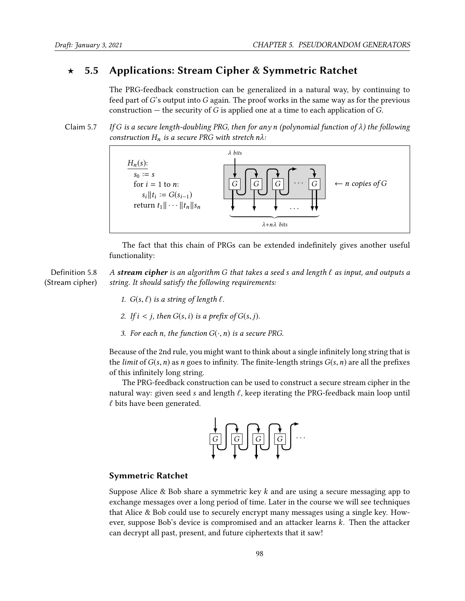## $\star$  5.5 Applications: Stream Cipher & Symmetric Ratchet

The PRG-feedback construction can be generalized in a natural way, by continuing to feed part of  $G$ 's output into  $G$  again. The proof works in the same way as for the previous construction  $-$  the security of G is applied one at a time to each application of G.

Claim 5.7 If G is a secure length-doubling PRG, then for any n (polynomial function of  $\lambda$ ) the following construction  $H_n$  is a secure PRG with stretch  $n\lambda$ :



The fact that this chain of PRGs can be extended indefinitely gives another useful functionality:

Definition 5.8 (Stream cipher) A stream cipher is an algorithm G that takes a seed s and length  $\ell$  as input, and outputs a string. It should satisfy the following requirements:

- 1.  $G(s, \ell)$  is a string of length  $\ell$ .
- 2. If  $i < j$ , then  $G(s, i)$  is a prefix of  $G(s, j)$ .
- 3. For each n, the function  $G(\cdot, n)$  is a secure PRG.

Because of the 2nd rule, you might want to think about a single infinitely long string that is the *limit* of  $G(s, n)$  as n goes to infinity. The finite-length strings  $G(s, n)$  are all the prefixes of this infinitely long string.

The PRG-feedback construction can be used to construct a secure stream cipher in the natural way: given seed s and length  $\ell$ , keep iterating the PRG-feedback main loop until  $\ell$  bits have been generated.



#### Symmetric Ratchet

Suppose Alice & Bob share a symmetric key  $k$  and are using a secure messaging app to exchange messages over a long period of time. Later in the course we will see techniques that Alice & Bob could use to securely encrypt many messages using a single key. However, suppose Bob's device is compromised and an attacker learns k. Then the attacker can decrypt all past, present, and future ciphertexts that it saw!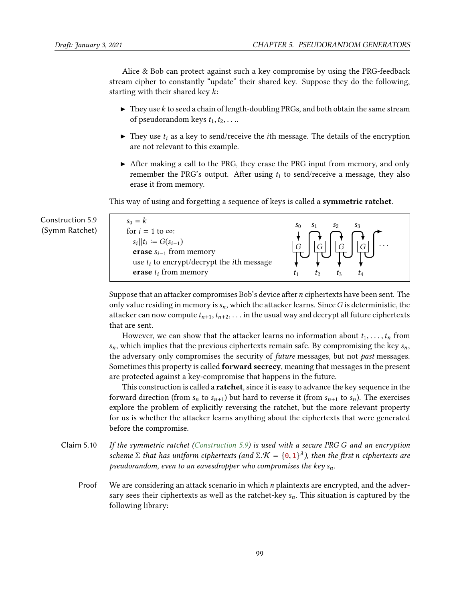Alice & Bob can protect against such a key compromise by using the PRG-feedback stream cipher to constantly "update" their shared key. Suppose they do the following, starting with their shared key k:

- $\blacktriangleright$  They use k to seed a chain of length-doubling PRGs, and both obtain the same stream of pseudorandom keys  $t_1, t_2, \ldots$
- $\blacktriangleright$  They use  $t_i$  as a key to send/receive the *i*th message. The details of the encryption are not relevant to this example.
- <span id="page-14-0"></span> $\blacktriangleright$  After making a call to the PRG, they erase the PRG input from memory, and only remember the PRG's output. After using  $t_i$  to send/receive a message, they also erase it from memory.

This way of using and forgetting a sequence of keys is called a **symmetric ratchet**.

#### Construction 5.9 (Symm Ratchet)  $s_0 = k$ for  $i = 1$  to  $\infty$ :  $s_i || t_i := G(s_{i-1})$ <br>orașe subtrom erase  $s_{i-1}$  from memory use  $t_i$  to encrypt/decrypt the *i*th message erase  $t_i$  from memory G G G G ···  $\begin{array}{ccc} s_0 & s_1 & s_2 & s_3 \\ s_1 & \bigcap & \bigcap & \bigcap \end{array}$  $\frac{t_1}{t_2}$   $\frac{t_3}{t_4}$

Suppose that an attacker compromises Bob's device after *n* ciphertexts have been sent. The only value residing in memory is  $s_n$ , which the attacker learns. Since G is deterministic, the attacker can now compute  $t_{n+1}, t_{n+2}, \ldots$  in the usual way and decrypt all future ciphertexts that are sent.

However, we can show that the attacker learns no information about  $t_1, \ldots, t_n$  from  $s_n$ , which implies that the previous ciphertexts remain safe. By compromising the key  $s_n$ , the adversary only compromises the security of *future* messages, but not *past* messages. Sometimes this property is called forward secrecy, meaning that messages in the present are protected against a key-compromise that happens in the future.

This construction is called a ratchet, since it is easy to advance the key sequence in the forward direction (from  $s_n$  to  $s_{n+1}$ ) but hard to reverse it (from  $s_{n+1}$  to  $s_n$ ). The exercises explore the problem of explicitly reversing the ratchet, but the more relevant property for us is whether the attacker learns anything about the ciphertexts that were generated before the compromise.

- Claim 5.10 If the symmetric ratchet [\(Construction 5.9\)](#page-14-0) is used with a secure PRG G and an encryption scheme  $\Sigma$  that has uniform ciphertexts (and  $\Sigma \mathcal{K} = \{0, 1\}^{\lambda}$ ), then the first n ciphertexts are<br>pseudorandom, even to an equesdropper who compromises the key s pseudorandom, even to an eavesdropper who compromises the key  $s_n$ .
	- Proof We are considering an attack scenario in which  $n$  plaintexts are encrypted, and the adversary sees their ciphertexts as well as the ratchet-key  $s_n$ . This situation is captured by the following library:

99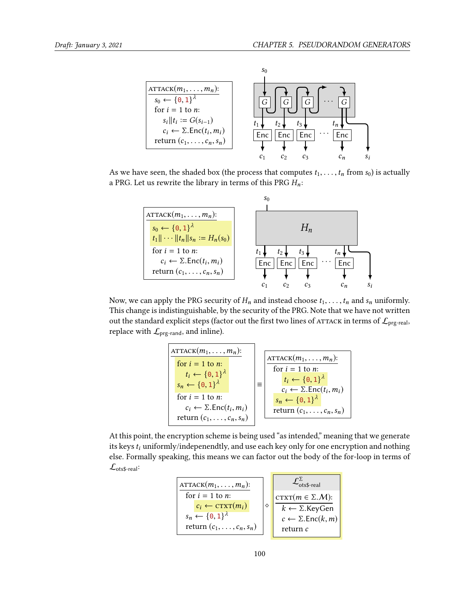

As we have seen, the shaded box (the process that computes  $t_1, \ldots, t_n$  from  $s_0$ ) is actually a PRG. Let us rewrite the library in terms of this PRG  $H_n$ :



Now, we can apply the PRG security of  $H_n$  and instead choose  $t_1, \ldots, t_n$  and  $s_n$  uniformly. This change is indistinguishable, by the security of the PRG. Note that we have not written out the standard explicit steps (factor out the first two lines of ATTACK in terms of  $\mathcal{L}_{\text{prg-real}}$ , replace with  $\mathcal{L}_{\text{prg-rand}}$ , and inline).



At this point, the encryption scheme is being used "as intended," meaning that we generate its keys  $t_i$  uniformly/indepenendtly, and use each key only for one encryption and nothing else. Formally speaking, this means we can factor out the body of the for-loop in terms of  $\mathcal{L}_{\text{otss-real}}$ :

$$
\begin{array}{|l|l|}\n\hline\n\text{ATTACK}(m_1, \ldots, m_n):\n\hline\nfor i = 1 to n:\n\begin{array}{c}\nc_1 \leftarrow \text{CTXT}(m_i) \\
s_n \leftarrow \{0, 1\}^\lambda \\
\text{return } (c_1, \ldots, c_n, s_n)\n\end{array}\n\right) \approx\n\begin{array}{|l|}\n\hline\n\text{CTXT}(m \in \Sigma \cdot \mathcal{M}): \\
\hline\nk \leftarrow \Sigma \cdot \text{KeyGen} \\
c \leftarrow \Sigma \cdot \text{Enc}(k, m)\n\end{array}
$$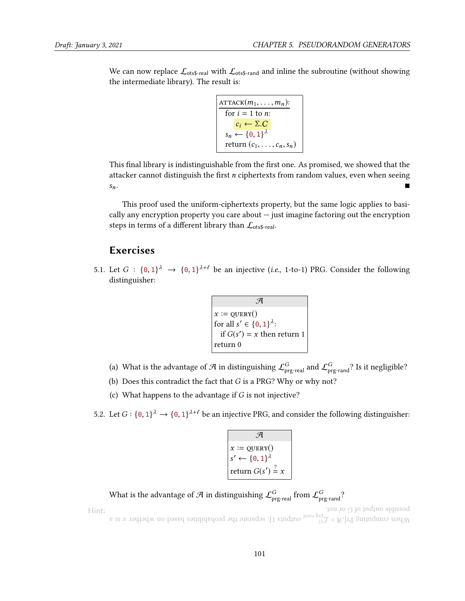We can now replace  $\mathcal{L}_{\text{ots}}$ -real with  $\mathcal{L}_{\text{ots}}$ -rand and inline the subroutine (without showing the intermediate library). The result is:

$$
\begin{array}{c}\n\text{ATTACK}(m_1, \ldots, m_n):\n\hline\n\text{for } i = 1 \text{ to } n:\n\hline\n\text{c}_i \leftarrow \sum C \\
s_n \leftarrow \{0, 1\}^{\lambda}\n\text{return } (c_1, \ldots, c_n, s_n)\n\end{array}
$$

This final library is indistinguishable from the first one. As promised, we showed that the attacker cannot distinguish the first *n* ciphertexts from random values, even when seeing  $s_n$ .  $s_n$ .

This proof used the uniform-ciphertexts property, but the same logic applies to basically any encryption property you care about — just imagine factoring out the encryption steps in terms of a different library than  $\mathcal{L}_{\text{ots,real}}$ .

## Exercises

5.1. Let  $G : \{0,1\}^{\lambda} \to \{0,1\}^{\lambda+\ell}$  be an injective (*i.e.*, 1-to-1) PRG. Consider the following distinguisher: distinguisher:

$$
\mathcal{A}
$$
  
\n $x := \text{QUERV}()$   
\nfor all  $s' \in \{0, 1\}^{\lambda}$ :  
\nif  $G(s') = x$  then return 1  
\nreturn 0

- (a) What is the advantage of  $\mathcal A$  in distinguishing  $\mathcal L^G_{\text{pre-real}}$  and  $\mathcal L^G_{\text{pre-random}}$ ? Is it negligible?
- (b) Does this contradict the fact that G is a PRG? Why or why not?
- (c) What happens to the advantage if  $G$  is not injective?

5.2. Let  $G: \{0,1\}^{\lambda} \to \{0,1\}^{\lambda+\ell}$  be an injective PRG, and consider the following distinguisher:

| $x := \text{QUERY}()$             |
|-----------------------------------|
| $s' \leftarrow \{0,1\}^{\lambda}$ |
| return $G(s') \stackrel{?}{=} x$  |

What is the advantage of  ${\cal A}$  in distinguishing  ${\cal L}^G_{\sf DIF-real}$  from  ${\cal L}^G_{\sf DIF-rand}$ ?

Hint:  $\mathbb{R}^n$  is a x redience to probabilities based on when  $\mathbb{R}^n$  is a separate the propabilities based on whether x is a  $\alpha$  not both of  $\Theta$  possible superfield  $\theta$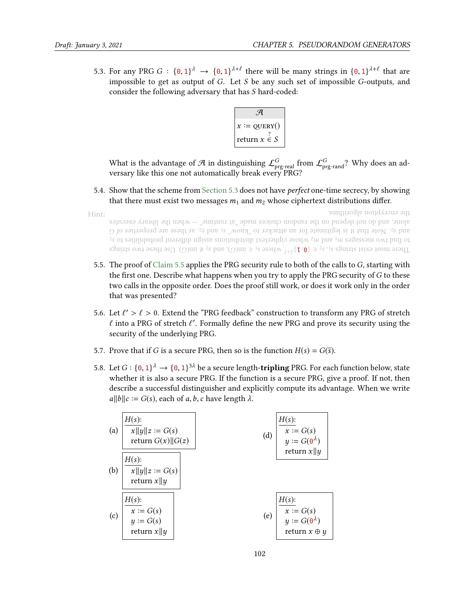5.3. For any PRG  $G : \{0,1\}^{\lambda} \to \{0,1\}^{\lambda+\ell}$  there will be many strings in  $\{0,1\}^{\lambda+\ell}$  that are impossible to get as output of  $G$ . Let S be any such set of impossible Goutputs, and impossible to get as output of G. Let S be any such set of impossible G-outputs, and consider the following adversary that has S hard-coded:

$$
\mathcal{A}
$$
  

$$
x := \text{QUERV}()
$$
  
return  $x \in S$ 

What is the advantage of  $\cal H$  in distinguishing  ${\cal L}^G_{\text{or}g\text{-}{\text{real}}}$  from  ${\cal L}^G_{\text{or}g\text{-}{\text{rand}}}.$  Why does an adversary like this one not automatically break every PRG?

5.4. Show that the scheme from [Section 5.3](#page-5-1) does not have *perfect* one-time secrecy, by showing that there must exist two messages  $m_1$  and  $m_2$  whose ciphertext distributions differ.

```
Hint:
            \mathbb{R}^n spart of \mathbb{R}^n if \{0\} is \mathbb{R}^n if \{1\} and \mathbb{R}^n if \mathbb{R}^n if \{1\} is \mathbb{R}^n if \{1\} and \mathbb{R}^n if \{1\} and \mathbb{R}^n is \mathbb{R}^n if \{1\} and \mathbb{R}^n if \{1\1s of sentiledistributions as \frac{1}{2} and \frac{1}{2} m \frac{1}{2} m \frac{1}{2} m \frac{1}{2} m \frac{1}{2} m \frac{1}{2} m \frac{1}{2} m \frac{1}{2} m \frac{1}{2} m \frac{1}{2} m \frac{1}{2} m \frac{1}{2} m \frac{1}{2} m \frac{1}{2} m \frac{1}{2and s_2. Note that it is legitimate for an attacker to \sim know \sim s_1 and s_2, as the suce properties to \simalone, and do not depend on the random choices made "at runtime" — when the library executes
                                                                                                                                    the encryption algorithms.
```
- 5.5. The proof of [Claim 5.5](#page-9-1) applies the PRG security rule to both of the calls to G, starting with the first one. Describe what happens when you try to apply the PRG security of  $G$  to these two calls in the opposite order. Does the proof still work, or does it work only in the order that was presented?
- 5.6. Let  $\ell' > \ell > 0$ . Extend the "PRG feedback" construction to transform any PRG of stretch  $\ell'$  into a PRG of stretch  $\ell'$ . Formally define the new PRG and prove its security using the  $\ell$  into a PRG of stretch  $\ell'$ . Formally define the new PRG and prove its security using the security of the underlying PRG security of the underlying PRG.
- 5.7. Prove that if G is a secure PRG, then so is the function  $H(s) = G(\overline{s})$ .
- 5.8. Let  $G : \{0,1\}^{\lambda} \to \{0,1\}^{3\lambda}$  be a secure length-**tripling** PRG. For each function below, state<br>whether it is also a secure PPG. If the function is a secure PPG give a proof. If not, then whether it is also a secure PRG. If the function is a secure PRG, give a proof. If not, then describe a successful distinguisher and explicitly compute its advantage. When we write  $a||b||c := G(s)$ , each of a, b, c have length  $\lambda$ .

| (a) | $H(s)$ :<br>$x  y  z := G(s)$<br>return $G(x)  G(z)$    | (d) | $H(s)$ :<br>$x := G(s)$<br>$y := G(\theta^{\lambda})$<br>return $x  y$       |
|-----|---------------------------------------------------------|-----|------------------------------------------------------------------------------|
| (b) | $H(s)$ :<br>$x  y  z := G(s)$<br>return $x  y$          |     |                                                                              |
| (c) | $H(s)$ :<br>$x := G(s)$<br>$y := G(s)$<br>return $x  y$ | (e) | $H(s)$ :<br>$x := G(s)$<br>$y := G(\theta^{\lambda})$<br>return $x \oplus y$ |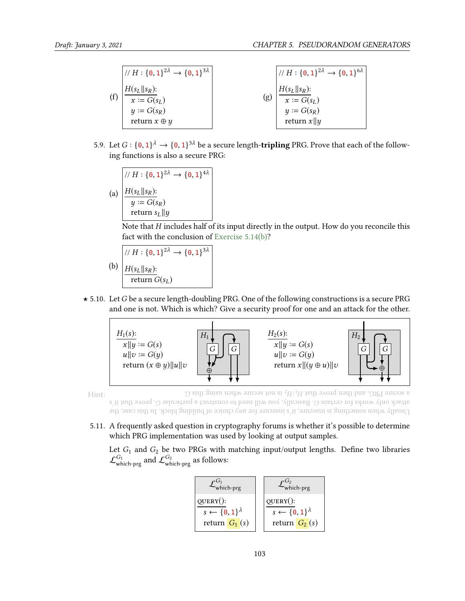| $1// H: \{0, 1\}^{2\lambda} \rightarrow \{0, 1\}^{3\lambda}$             |     | $1/H: \{0,1\}^{2\lambda} \rightarrow \{0,1\}^{6\lambda}$           |
|--------------------------------------------------------------------------|-----|--------------------------------------------------------------------|
| $H(s_L  s_R)$ :<br>$x := G(s_L)$<br>$y := G(s_R)$<br>return $x \oplus y$ | (g) | $H(s_L  s_R)$ :<br>$x := G(s_L)$<br>$y := G(s_R)$<br>return $x  y$ |

5.9. Let  $G : \{0,1\}^{\lambda} \to \{0,1\}^{3\lambda}$  be a secure length-**tripling** PRG. Prove that each of the follow-<br>ing functions is also a secure PRG. ing functions is also a secure PRG:

(a)  

$$
\overline{H(s_L||s_R):}
$$
  
(b)  

$$
\overline{H(s_L||s_R):}
$$
  

$$
y := G(s_R)
$$
  
return  $s_L||y$ 

Note that H includes half of its input directly in the output. How do you reconcile this fort with the conclusion of Evergies  $5.14(b)$ ? fact with the conclusion of [Exercise 5.14\(b\)?](#page-19-0)

(b) 
$$
\begin{aligned} \n\begin{aligned}\n\text{(b)} \quad & \frac{H(s_L \parallel s_R)}{1 + \text{ return } G(s_L)} \\
& \frac{H(s_L \parallel s_R)}{1 + \text{ return } G(s_L)}\n\end{aligned}
$$

 $\star$  5.10. Let G be a secure length-doubling PRG. One of the following constructions is a secure PRG and one is not. Which is which? Give a security proof for one and an attack for the other.



Hint: Claually when something is insecure, it's insecure for any choice of building block. In this case, the attack only works for certain  $G$ . Basically, you will need to construct a particular  $G$ , prove that it's a secure PRG, and then prove that  $H_1/H_2$  is not secure when using this G.

5.11. A frequently asked question in cryptography forums is whether it's possible to determine which PRG implementation was used by looking at output samples.

Let  $G_1$  and  $G_2$  be two PRGs with matching input/output lengths. Define two libraries  $\mathcal{L}^{G_1}_{\text{which-pr}}$  and  $\mathcal{L}^{G_2}_{\text{which-pr}}$  as follows:

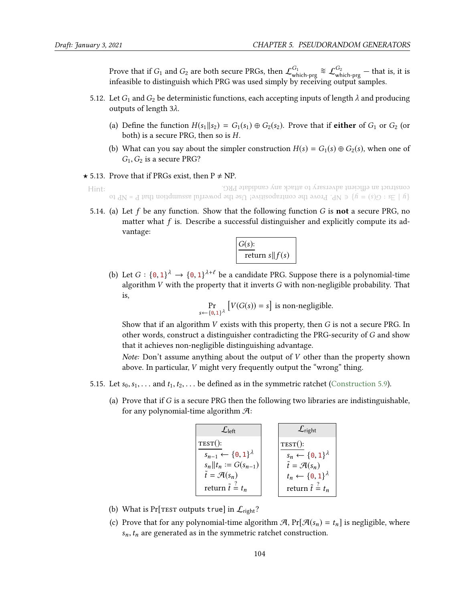Prove that if  $G_1$  and  $G_2$  are both secure PRGs, then  $\mathcal{L}^{G_1}_{\text{which-prg}} \approx \mathcal{L}^{G_2}_{\text{which-prg}}$  – that is, it is infeasible to distinguish which PPG was used simply by receiving output samples infeasible to distinguish which PRG was used simply by receiving output samples.

- 5.12. Let  $G_1$  and  $G_2$  be deterministic functions, each accepting inputs of length  $\lambda$  and producing outputs of length <sup>3</sup>λ.
	- (a) Define the function  $H(s_1 || s_2) = G_1(s_1) \oplus G_2(s_2)$ . Prove that if **either** of  $G_1$  or  $G_2$  (or both) is a secure PRG, then so is H.
	- (b) What can you say about the simpler construction  $H(s) = G_1(s) \oplus G_2(s)$ , when one of  $G_1, G_2$  is a secure PRG?
- $\star$  5.13. Prove that if PRGs exist, then P  $\neq$  NP.

```
Hint:
        be the contrapositive! Prove the contrapositive! Use the powerful assumption that P = \{y \in \mathbb{R} \mid y\} to \{y \in \mathbb{R} \mid y\}construct an ecient adversary to attack any candidate PRG.
```
5.14. (a) Let f be any function. Show that the following function G is **not** a secure PRG, no matter what  $f$  is. Describe a successful distinguisher and explicitly compute its advantage:



<span id="page-19-0"></span>(b) Let  $G: \{0,1\}^{\lambda} \to \{0,1\}^{\lambda+\ell}$  be a candidate PRG. Suppose there is a polynomial-time algorithm V with the property that it inverts G with non-negligible probability. That algorithm V with the property that it inverts G with non-negligible probability. That is,

$$
\Pr_{s \leftarrow \{0,1\}^{\lambda}} \left[ V(G(s)) = s \right] \text{ is non-negligible.}
$$

Show that if an algorithm  $V$  exists with this property, then  $G$  is not a secure PRG. In other words, construct a distinguisher contradicting the PRG-security of G and show that it achieves non-negligible distinguishing advantage.

*Note:* Don't assume anything about the output of  $V$  other than the property shown above. In particular, V might very frequently output the "wrong" thing.

- 5.15. Let  $s_0, s_1, \ldots$  and  $t_1, t_2, \ldots$  be defined as in the symmetric ratchet [\(Construction 5.9\)](#page-14-0).
	- (a) Prove that if G is a secure PRG then the following two libraries are indistinguishable, for any polynomial-time algorithm  $\mathcal{A}$ :

| Left                           | $\mathcal{L}_{\text{right}}$            |         |
|--------------------------------|-----------------------------------------|---------|
| TEST():                        | $s_{n-1} \leftarrow \{0, 1\}^{\lambda}$ | TEST(): |
| $s_n    t_n := G(s_{n-1})$     | $\tilde{t} = \mathcal{A}(s_n)$          |         |
| $\tilde{t} = \mathcal{A}(s_n)$ | $t_n \leftarrow \{0, 1\}^{\lambda}$     |         |
| return $\tilde{t} = t_n$       | return $\tilde{t} = t_n$                |         |

- (b) What is Pr[TEST outputs true] in  $\mathcal{L}_{\text{right}}$ ?
- (c) Prove that for any polynomial-time algorithm  $\mathcal{A}$ ,  $Pr[\mathcal{A}(s_n) = t_n]$  is negligible, where  $s_n, t_n$  are generated as in the symmetric ratchet construction.